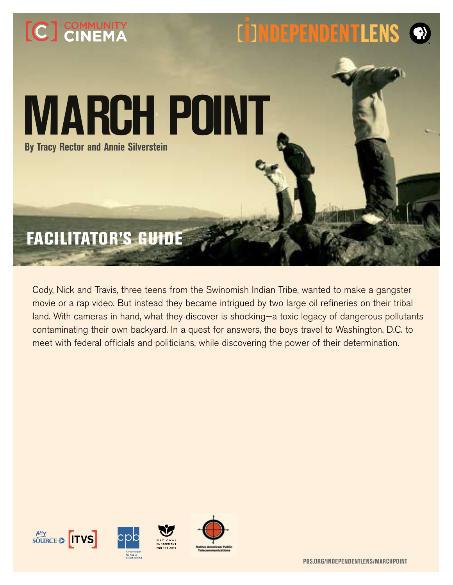# **EDIMDEPENDENTLENS** [C] COMMUNITY **MARCH POINT By Tracy Rector and Annie Silverstein** facilitator's guide

Cody, Nick and Travis, three teens from the Swinomish Indian Tribe, wanted to make a gangster movie or a rap video. But instead they became intrigued by two large oil refineries on their tribal land. With cameras in hand, what they discover is shocking—a toxic legacy of dangerous pollutants contaminating their own backyard. In a quest for answers, the boys travel to Washington, D.C. to meet with federal officials and politicians, while discovering the power of their determination.

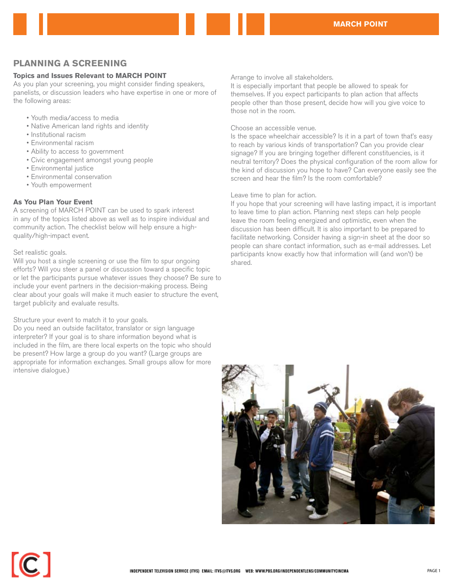# **PLANNING A SCREENING**

## **Topics and Issues Relevant to MARCH POINT**

As you plan your screening, you might consider finding speakers, panelists, or discussion leaders who have expertise in one or more of the following areas:

- • Youth media/access to media
- Native American land rights and identity
- • Institutional racism
- • Environmental racism
- Ability to access to government
- • Civic engagement amongst young people
- • Environmental justice
- • Environmental conservation
- • Youth empowerment

### **As You Plan Your Event**

A screening of MARCH POINT can be used to spark interest in any of the topics listed above as well as to inspire individual and community action. The checklist below will help ensure a highquality/high-impact event.

### Set realistic goals.

Will you host a single screening or use the film to spur ongoing efforts? Will you steer a panel or discussion toward a specific topic or let the participants pursue whatever issues they choose? Be sure to include your event partners in the decision-making process. Being clear about your goals will make it much easier to structure the event, target publicity and evaluate results.

### Structure your event to match it to your goals.

Do you need an outside facilitator, translator or sign language interpreter? If your goal is to share information beyond what is included in the film, are there local experts on the topic who should be present? How large a group do you want? (Large groups are appropriate for information exchanges. Small groups allow for more intensive dialogue.)

Arrange to involve all stakeholders.

It is especially important that people be allowed to speak for themselves. If you expect participants to plan action that affects people other than those present, decide how will you give voice to those not in the room.

### Choose an accessible venue.

Is the space wheelchair accessible? Is it in a part of town that's easy to reach by various kinds of transportation? Can you provide clear signage? If you are bringing together different constituencies, is it neutral territory? Does the physical configuration of the room allow for the kind of discussion you hope to have? Can everyone easily see the screen and hear the film? Is the room comfortable?

### Leave time to plan for action.

If you hope that your screening will have lasting impact, it is important to leave time to plan action. Planning next steps can help people leave the room feeling energized and optimistic, even when the discussion has been difficult. It is also important to be prepared to facilitate networking. Consider having a sign-in sheet at the door so people can share contact information, such as e-mail addresses. Let participants know exactly how that information will (and won't) be shared.